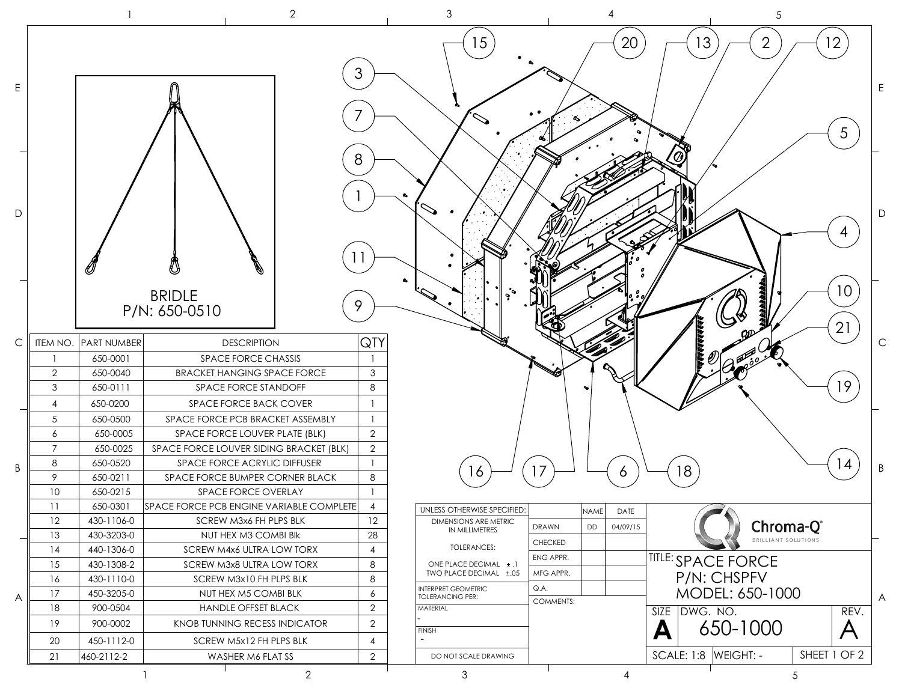|        |                 |                      | $\mathbf{2}$                                              |                     | $\mathfrak{Z}$                                   |                           |          |                   | 5                          |                            |                          |
|--------|-----------------|----------------------|-----------------------------------------------------------|---------------------|--------------------------------------------------|---------------------------|----------|-------------------|----------------------------|----------------------------|--------------------------|
| Ε<br>D |                 |                      | <b>BRIDLE</b>                                             | 3<br>8              | 15                                               |                           | 20       | 13<br>$\emptyset$ | $\overline{2}$             | 12<br>5<br>10 <sup>°</sup> |                          |
|        | ITEM NO.        | <b>PART NUMBER</b>   | P/N: 650-0510                                             | 9.                  |                                                  |                           |          |                   |                            | 21                         |                          |
| C      |                 |                      | <b>DESCRIPTION</b>                                        | QTY                 |                                                  |                           |          |                   |                            |                            |                          |
|        | $\overline{2}$  | 650-0001<br>650-0040 | SPACE FORCE CHASSIS<br><b>BRACKET HANGING SPACE FORCE</b> | $\overline{1}$<br>3 |                                                  |                           |          |                   |                            |                            |                          |
|        | 3               | 650-0111             | SPACE FORCE STANDOFF                                      | 8                   |                                                  |                           |          |                   |                            | 19                         |                          |
|        | $\overline{4}$  | 650-0200             | SPACE FORCE BACK COVER                                    |                     |                                                  |                           |          |                   |                            |                            |                          |
|        | $\sqrt{5}$      | 650-0500             | SPACE FORCE PCB BRACKET ASSEMBLY                          | $\overline{1}$      |                                                  |                           |          |                   |                            |                            |                          |
|        | 6               | 650-0005             | SPACE FORCE LOUVER PLATE (BLK)                            | $\overline{2}$      |                                                  |                           |          |                   |                            |                            |                          |
|        | $\overline{7}$  | 650-0025             | SPACE FORCE LOUVER SIDING BRACKET (BLK)                   | $\overline{2}$      |                                                  |                           |          |                   |                            |                            |                          |
|        | 8               | 650-0520             | SPACE FORCE ACRYLIC DIFFUSER                              | $\mathbf{1}$        |                                                  |                           |          |                   |                            |                            | 4                        |
| B      | 9               | 650-0211             | SPACE FORCE BUMPER CORNER BLACK                           | 8                   | 16                                               | 17                        | 6        | 18                |                            |                            |                          |
|        | 10 <sup>°</sup> | 650-0215             | SPACE FORCE OVERLAY                                       |                     |                                                  |                           |          |                   |                            |                            |                          |
|        | 11              | 650-0301             | SPACE FORCE PCB ENGINE VARIABLE COMPLETE                  | $\overline{4}$      | UNLESS OTHERWISE SPECIFIED:                      | NAME                      | DATE     |                   | $\blacktriangledown$       |                            |                          |
|        | 12              | 430-1106-0           | SCREW M3x6 FH PLPS BLK                                    | $12 \,$             | <b>DIMENSIONS ARE METRIC</b>                     | <b>DD</b><br><b>DRAWN</b> | 04/09/15 |                   | Chroma-Q®                  |                            |                          |
|        | 13              | 430-3203-0           | NUT HEX M3 COMBI BIK                                      | 28                  | IN MILLIMETRES                                   | CHECKED                   |          |                   | BRILLIANT SOLUTIONS        |                            |                          |
|        | 14              | 440-1306-0           | SCREW M4x6 ULTRA LOW TORX                                 | $\overline{4}$      | <b>TOLERANCES:</b>                               | ENG APPR.                 |          |                   |                            |                            |                          |
|        | 15              | 430-1308-2           | SCREW M3x8 ULTRA LOW TORX                                 | 8                   | ONE PLACE DECIMAL ± .1<br>TWO PLACE DECIMAL ±.05 | MFG APPR.                 |          |                   | <b>ITITLE: SPACE FORCE</b> |                            |                          |
|        | 16              | 430-1110-0           | SCREW M3x10 FH PLPS BLK                                   | 8                   | <b>INTERPRET GEOMETRIC</b>                       | Q.A.                      |          |                   | P/N: CHSPFV                |                            |                          |
| Α      | 17              | 450-3205-0           | NUT HEX M5 COMBI BLK                                      | 6                   | <b>TOLERANCING PER:</b>                          | COMMENTS:                 |          |                   | MODEL: 650-1000            |                            |                          |
|        | 18              | 900-0504             | <b>HANDLE OFFSET BLACK</b>                                | $\overline{2}$      | MATERIAL                                         |                           |          | SIZE DWG. NO.     |                            |                            | REV.                     |
|        | 19              | 900-0002             | KNOB TUNNING RECESS INDICATOR                             | $\overline{2}$      | <b>FINISH</b>                                    |                           | A        |                   | 650-1000                   |                            | $\overline{\mathcal{A}}$ |
|        | 20              | 450-1112-0           | SCREW M5x12 FH PLPS BLK                                   | 4                   |                                                  |                           |          |                   |                            |                            |                          |
|        | 21              | 460-2112-2           | WASHER M6 FLAT SS                                         | $\mathbf{2}$        | DO NOT SCALE DRAWING                             |                           |          | <b>SCALE: 1:8</b> | WEIGHT: -                  | SHEET 1 OF 2               |                          |